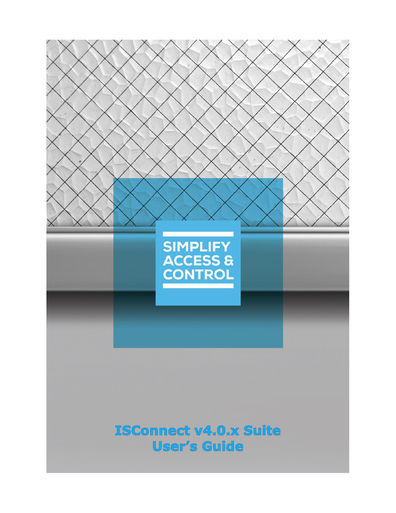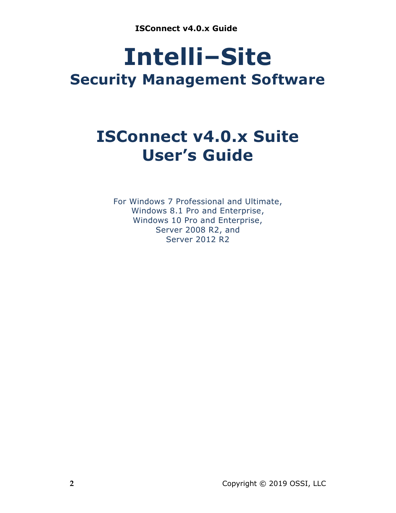# **Intelli‒Site Security Management Software**

# **ISConnect v4.0.x Suite User's Guide**

For Windows 7 Professional and Ultimate, Windows 8.1 Pro and Enterprise, Windows 10 Pro and Enterprise, Server 2008 R2, and Server 2012 R2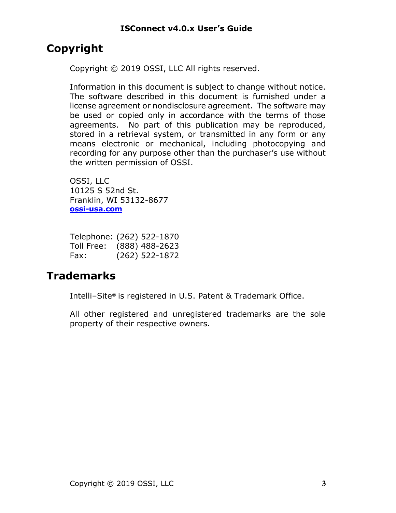# <span id="page-2-0"></span>**Copyright**

Copyright © 2019 OSSI, LLC All rights reserved.

Information in this document is subject to change without notice. The software described in this document is furnished under a license agreement or nondisclosure agreement. The software may be used or copied only in accordance with the terms of those agreements. No part of this publication may be reproduced, stored in a retrieval system, or transmitted in any form or any means electronic or mechanical, including photocopying and recording for any purpose other than the purchaser's use without the written permission of OSSI.

OSSI, LLC 10125 S 52nd St. Franklin, WI 53132-8677 **[ossi-usa.com](http://ossi-usa.com/)**

| Telephone: (262) 522-1870 |                  |
|---------------------------|------------------|
| Toll Free:                | $(888)$ 488-2623 |
| Fax:                      | $(262)$ 522-1872 |

# <span id="page-2-1"></span>**Trademarks**

Intelli-Site® is registered in U.S. Patent & Trademark Office.

All other registered and unregistered trademarks are the sole property of their respective owners.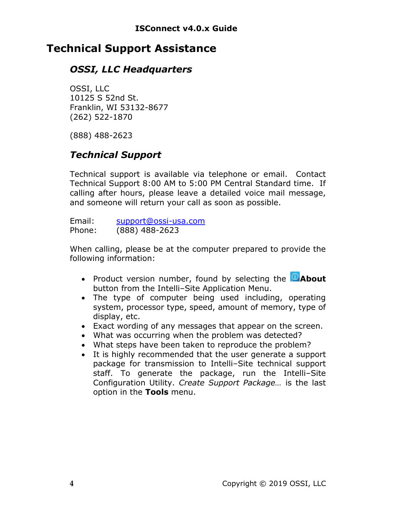# <span id="page-3-0"></span>**Technical Support Assistance**

### *OSSI, LLC Headquarters*

OSSI, LLC 10125 S 52nd St. Franklin, WI 53132-8677 (262) 522-1870

(888) 488-2623

## *Technical Support*

Technical support is available via telephone or email. Contact Technical Support 8:00 AM to 5:00 PM Central Standard time. If calling after hours, please leave a detailed voice mail message, and someone will return your call as soon as possible.

Email: [support@ossi-usa.com](mailto:support@ossi-usa.com) Phone: (888) 488-2623

When calling, please be at the computer prepared to provide the following information:

- Product version number, found by selecting the **CAbout** button from the Intelli-Site Application Menu.
- The type of computer being used including, operating system, processor type, speed, amount of memory, type of display, etc.
- Exact wording of any messages that appear on the screen.
- What was occurring when the problem was detected?
- What steps have been taken to reproduce the problem?
- It is highly recommended that the user generate a support package for transmission to Intelli-Site technical support staff. To generate the package, run the Intelli-Site Configuration Utility. *Create Support Package…* is the last option in the **Tools** menu.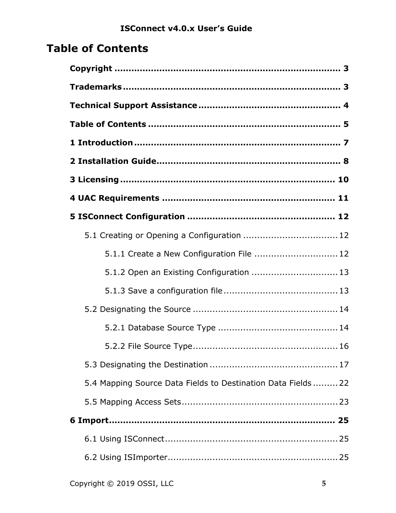# <span id="page-4-0"></span>**Table of Contents**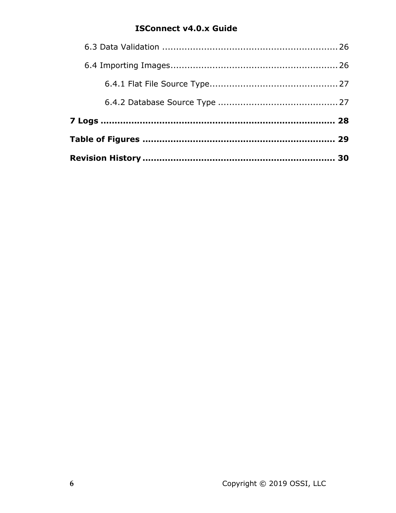### **ISConnect v4.0.x Guide**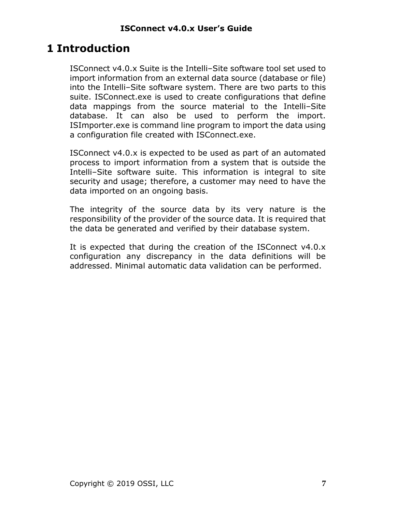# <span id="page-6-0"></span>**1 Introduction**

ISConnect v4.0.x Suite is the Intelli-Site software tool set used to import information from an external data source (database or file) into the Intelli-Site software system. There are two parts to this suite. ISConnect.exe is used to create configurations that define data mappings from the source material to the Intelli-Site database. It can also be used to perform the import. ISImporter.exe is command line program to import the data using a configuration file created with ISConnect.exe.

ISConnect v4.0.x is expected to be used as part of an automated process to import information from a system that is outside the Intelli–Site software suite. This information is integral to site security and usage; therefore, a customer may need to have the data imported on an ongoing basis.

The integrity of the source data by its very nature is the responsibility of the provider of the source data. It is required that the data be generated and verified by their database system.

It is expected that during the creation of the ISConnect v4.0.x configuration any discrepancy in the data definitions will be addressed. Minimal automatic data validation can be performed.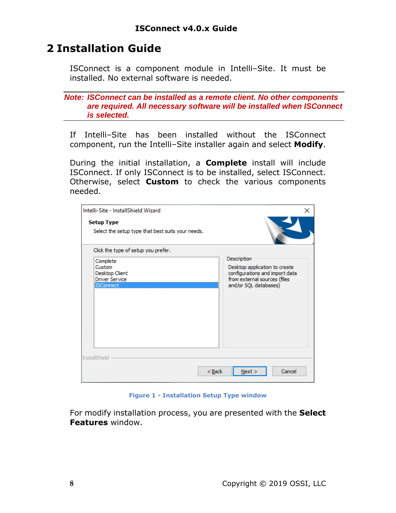# <span id="page-7-0"></span>**2 Installation Guide**

ISConnect is a component module in Intelli-Site. It must be installed. No external software is needed.

*Note: ISConnect can be installed as a remote client. No other components are required. All necessary software will be installed when ISConnect is selected.*

If Intelli-Site has been installed without the ISConnect component, run the Intelli-Site installer again and select **Modify**.

During the initial installation, a **Complete** install will include ISConnect. If only ISConnect is to be installed, select ISConnect. Otherwise, select **Custom** to check the various components needed.

| Intelli-Site - InstallShield Wizard<br><b>Setup Type</b><br>Select the setup type that best suits your needs. | ×                              |
|---------------------------------------------------------------------------------------------------------------|--------------------------------|
| Click the type of setup you prefer.                                                                           |                                |
| Complete                                                                                                      | Description                    |
| Custom                                                                                                        | Desktop application to create  |
| Desktop Client                                                                                                | configurations and import data |
| <b>Driver Service</b>                                                                                         | from external sources (files   |
| <b>ISConnect</b>                                                                                              | and/or SQL databases)          |
| InstallShield                                                                                                 | Cancel                         |
| $Back$                                                                                                        | Next >                         |

**Figure 1 - Installation Setup Type window**

<span id="page-7-1"></span>For modify installation process, you are presented with the **Select Features** window.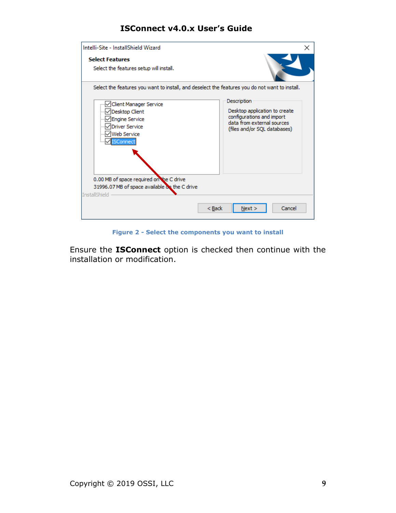| Intelli-Site - InstallShield Wizard                                                                                                                                                                                                                           | ×                                                                                                                                       |
|---------------------------------------------------------------------------------------------------------------------------------------------------------------------------------------------------------------------------------------------------------------|-----------------------------------------------------------------------------------------------------------------------------------------|
| <b>Select Features</b><br>Select the features setup will install.                                                                                                                                                                                             |                                                                                                                                         |
| Select the features you want to install, and deselect the features you do not want to install.<br>Client Manager Service<br>Desktop Client<br>Engine Service<br>Driver Service<br>Web Service<br><b>ISConnect</b><br>0.00 MB of space required on the C drive | Description<br>Desktop application to create<br>configurations and import<br>data from external sources<br>(files and/or SQL databases) |
| 31996.07 MB of space available on the C drive<br><b>InstallShield</b>                                                                                                                                                                                         |                                                                                                                                         |
| $<$ Back                                                                                                                                                                                                                                                      | Cancel<br>Next >                                                                                                                        |

**Figure 2 - Select the components you want to install**

<span id="page-8-0"></span>Ensure the **ISConnect** option is checked then continue with the installation or modification.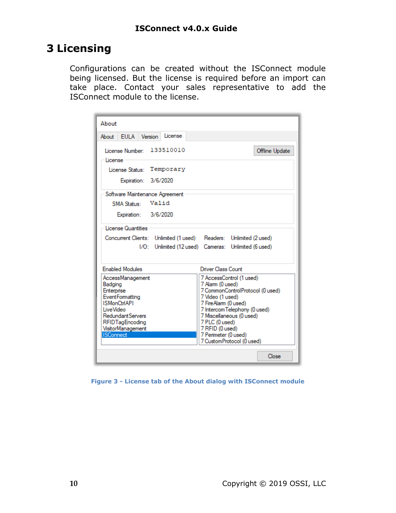# <span id="page-9-0"></span>**3 Licensing**

Configurations can be created without the ISConnect module being licensed. But the license is required before an import can take place. Contact your sales representative to add the ISConnect module to the license.

| About                                                                              |
|------------------------------------------------------------------------------------|
| About EULA Version<br>License                                                      |
|                                                                                    |
| 133510010<br>License Number:<br>Offline Update                                     |
| License                                                                            |
| License Status: Temporary                                                          |
| Expiration: 3/6/2020                                                               |
| Software Maintenance Agreement                                                     |
| Valid<br><b>SMA Status:</b>                                                        |
| Expiration: 3/6/2020                                                               |
| License Quantities                                                                 |
| Concurrent Clients: Unlimited (1 used) Readers: Unlimited (2 used)                 |
| I/O: Unlimited (12 used) Cameras: Unlimited (6 used)                               |
|                                                                                    |
| <b>Enabled Modules</b><br>Driver Class Count                                       |
| 7 AccessControl (1 used)<br>AccessManagement                                       |
| 7 Alarm (0 used)<br>Badging<br>7 CommonControlProtocol (0 used)<br>Enterprise      |
| <b>EventFormatting</b><br>7 Video (1 used)                                         |
| <b>ISMonCtrIAPI</b><br>7 FireAlarm (0 used)                                        |
| <b>LiveVideo</b><br>7 Intercom Telephony (0 used)                                  |
| Redundant Servers<br>7 Miscellaneous (0 used)<br>7 PLC (0 used)<br>RFIDTagEncoding |
| VisitorManagement<br>7 RFID (0 used)                                               |
| <b>ISConnect</b><br>7 Perimeter (0 used)                                           |
| 7 Custom Protocol (0 used)                                                         |
| Close                                                                              |

<span id="page-9-1"></span>**Figure 3 - License tab of the About dialog with ISConnect module**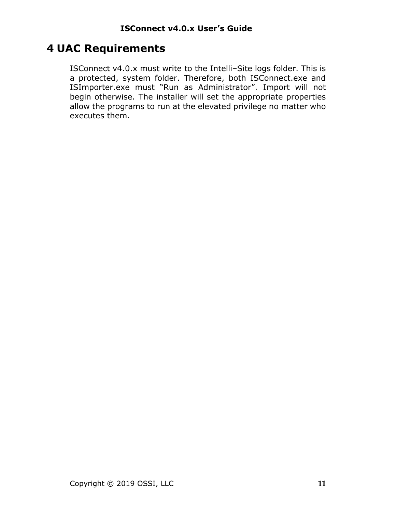# <span id="page-10-0"></span>**4 UAC Requirements**

ISConnect v4.0.x must write to the Intelli-Site logs folder. This is a protected, system folder. Therefore, both ISConnect.exe and ISImporter.exe must "Run as Administrator". Import will not begin otherwise. The installer will set the appropriate properties allow the programs to run at the elevated privilege no matter who executes them.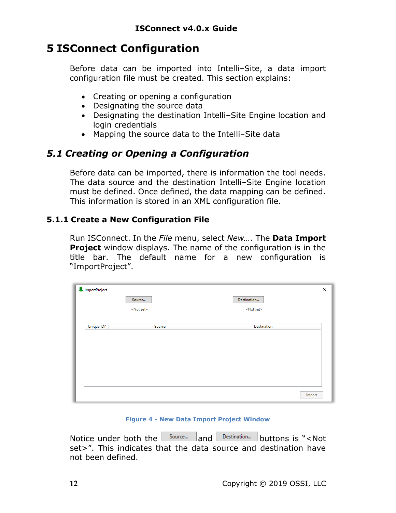# <span id="page-11-0"></span>**5 ISConnect Configuration**

Before data can be imported into Intelli-Site, a data import configuration file must be created. This section explains:

- Creating or opening a configuration
- Designating the source data
- Designating the destination Intelli-Site Engine location and login credentials
- Mapping the source data to the Intelli-Site data

### <span id="page-11-1"></span>*5.1 Creating or Opening a Configuration*

Before data can be imported, there is information the tool needs. The data source and the destination Intelli-Site Engine location must be defined. Once defined, the data mapping can be defined. This information is stored in an XML configuration file.

#### <span id="page-11-2"></span>**5.1.1 Create a New Configuration File**

Run ISConnect. In the *File* menu, select *New…*. The **Data Import Project** window displays. The name of the configuration is in the title bar. The default name for a new configuration is "ImportProject".

| ImportProject |                    | —                  | $\Box$ | $\times$ |
|---------------|--------------------|--------------------|--------|----------|
|               | Source             | Destination        |        |          |
|               | <not set=""></not> | <not set=""></not> |        |          |
|               |                    | Destination        |        |          |
| Unique ID?    | Source             |                    |        |          |
|               |                    |                    |        |          |
|               |                    |                    |        |          |
|               |                    |                    |        |          |
|               |                    |                    |        |          |
|               |                    |                    |        |          |
|               |                    |                    | Import |          |

#### **Figure 4 - New Data Import Project Window**

<span id="page-11-3"></span>Notice under both the  $\vert$  source...  $\vert$  and  $\vert$  Destination... buttons is "<Not set>". This indicates that the data source and destination have not been defined.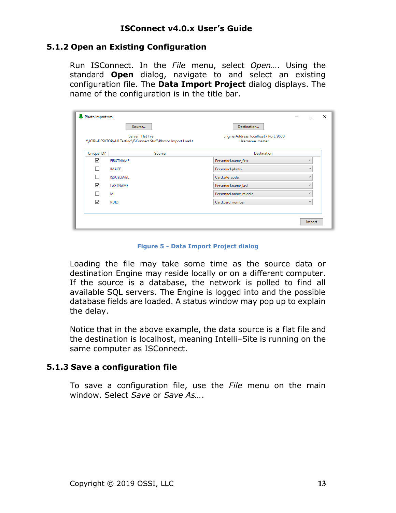#### <span id="page-12-0"></span>**5.1.2 Open an Existing Configuration**

Run ISConnect. In the *File* menu, select *Open…*. Using the standard **Open** dialog, navigate to and select an existing configuration file. The **Data Import Project** dialog displays. The name of the configuration is in the title bar.

| Photo Import.xml     |                                                                                     |                                                            | П            | $\times$ |
|----------------------|-------------------------------------------------------------------------------------|------------------------------------------------------------|--------------|----------|
|                      | Source                                                                              | Destination                                                |              |          |
|                      | Server=Flat File<br>\\LORI-DESKTOP\4.0 Testing\ISConnect Stuff\Photos Import Load.t | Engine Address: localhost / Port: 9600<br>Username: master |              |          |
| Unique ID?           | Source                                                                              | <b>Destination</b>                                         |              |          |
| $\blacktriangledown$ | <b>FIRSTNAME</b>                                                                    | Personnel.name_first                                       | $\sim$       |          |
|                      | <b>IMAGE</b>                                                                        | Personnel.photo                                            | $\sim$       |          |
|                      | <b>ISSUELEVEL</b>                                                                   | Card.site_code                                             | $\sim$       |          |
| $\blacktriangledown$ | LASTNAME                                                                            | Personnel.name_last                                        | $\sim$       |          |
|                      | MI                                                                                  | Personnel.name_middle                                      | $\checkmark$ |          |
| V                    | <b>RUID</b>                                                                         | Card.card_number                                           | $\checkmark$ |          |
|                      |                                                                                     |                                                            |              |          |
|                      |                                                                                     |                                                            | Import       |          |
|                      |                                                                                     |                                                            |              |          |

**Figure 5 - Data Import Project dialog**

<span id="page-12-2"></span>Loading the file may take some time as the source data or destination Engine may reside locally or on a different computer. If the source is a database, the network is polled to find all available SQL servers. The Engine is logged into and the possible database fields are loaded. A status window may pop up to explain the delay.

Notice that in the above example, the data source is a flat file and the destination is localhost, meaning Intelli-Site is running on the same computer as ISConnect.

#### <span id="page-12-1"></span>**5.1.3 Save a configuration file**

To save a configuration file, use the *File* menu on the main window. Select *Save* or *Save As…*.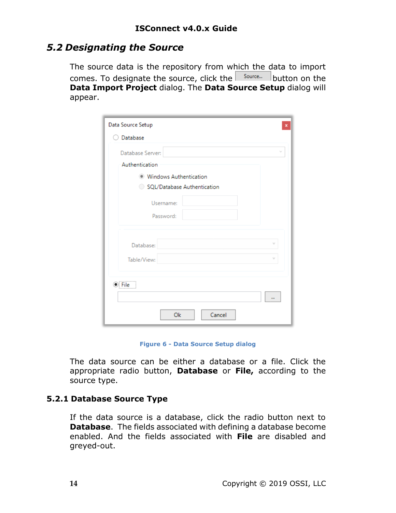### <span id="page-13-0"></span>*5.2 Designating the Source*

The source data is the repository from which the data to import comes. To designate the source, click the  $\vert$  source... button on the **Data Import Project** dialog. The **Data Source Setup** dialog will appear.

| Data Source Setup             | ×        |
|-------------------------------|----------|
| Database                      |          |
| Database Server:              | $\sim$   |
| Authentication                |          |
| <b>Windows Authentication</b> |          |
| SOL/Database Authentication   |          |
| Username:                     |          |
| Password:                     |          |
|                               |          |
| Database:                     |          |
| Table/View:                   |          |
|                               |          |
| $\odot$ : File                |          |
|                               | $\cdots$ |
| Ok<br>Cancel                  |          |

**Figure 6 - Data Source Setup dialog**

<span id="page-13-2"></span>The data source can be either a database or a file. Click the appropriate radio button, **Database** or **File,** according to the source type.

#### <span id="page-13-1"></span>**5.2.1 Database Source Type**

If the data source is a database, click the radio button next to **Database**. The fields associated with defining a database become enabled. And the fields associated with **File** are disabled and greyed-out.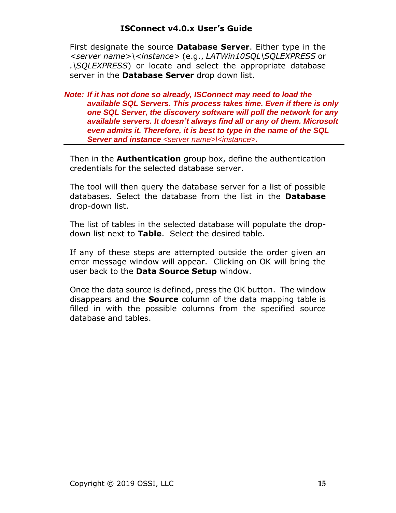First designate the source **Database Server**. Either type in the *<server name>\<instance>* (e.g., *LATWin10SQL\SQLEXPRESS* or *.\SQLEXPRESS*) or locate and select the appropriate database server in the **Database Server** drop down list.

*Note: If it has not done so already, ISConnect may need to load the available SQL Servers. This process takes time. Even if there is only one SQL Server, the discovery software will poll the network for any available servers. It doesn't always find all or any of them. Microsoft even admits it. Therefore, it is best to type in the name of the SQL Server and instance <server name>\<instance>.*

Then in the **Authentication** group box, define the authentication credentials for the selected database server.

The tool will then query the database server for a list of possible databases. Select the database from the list in the **Database** drop-down list.

The list of tables in the selected database will populate the dropdown list next to **Table**. Select the desired table.

If any of these steps are attempted outside the order given an error message window will appear. Clicking on OK will bring the user back to the **Data Source Setup** window.

Once the data source is defined, press the OK button. The window disappears and the **Source** column of the data mapping table is filled in with the possible columns from the specified source database and tables.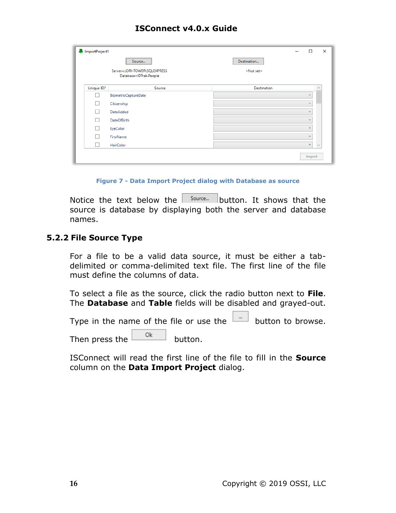| Source<br>                                             | Destination        |                          |            |
|--------------------------------------------------------|--------------------|--------------------------|------------|
| Server=LORI-TOWER\SQLEXPRESS<br>Database=IDTrak.People | <not set=""></not> |                          |            |
| Source                                                 | <b>Destination</b> |                          | $\wedge$   |
| <b>BiometricCaptureDate</b>                            |                    | $\sim$                   |            |
| Citizenship                                            |                    | $\sim$                   |            |
| DateAdded                                              |                    | $\sim$                   |            |
| <b>DateOfBirth</b>                                     |                    | $\sim$                   |            |
| EyeColor                                               |                    | $\checkmark$             |            |
| FirstName                                              |                    | $\overline{\phantom{a}}$ |            |
| HairColor                                              |                    | v                        | $\backsim$ |
|                                                        |                    |                          |            |

**Figure 7 - Data Import Project dialog with Database as source**

<span id="page-15-1"></span>Notice the text below the  $\vert$  source... button. It shows that the source is database by displaying both the server and database names.

#### <span id="page-15-0"></span>**5.2.2 File Source Type**

For a file to be a valid data source, it must be either a tabdelimited or comma-delimited text file. The first line of the file must define the columns of data.

To select a file as the source, click the radio button next to **File**. The **Database** and **Table** fields will be disabled and grayed-out.

Type in the name of the file or use the  $\Box$  button to browse.

Then press the  $\frac{\log n}{n}$  button.

ISConnect will read the first line of the file to fill in the **Source** column on the **Data Import Project** dialog.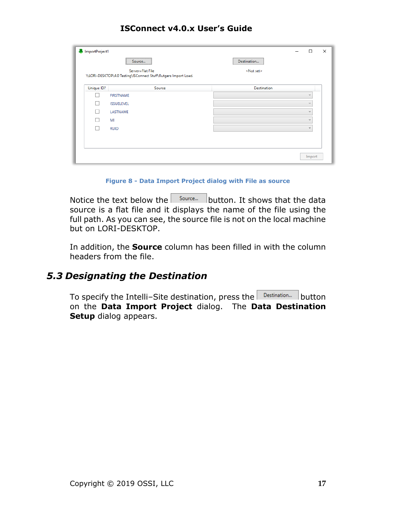|            | ImportProject1<br>$\times$<br>$\Box$                                                |                    |                |  |  |
|------------|-------------------------------------------------------------------------------------|--------------------|----------------|--|--|
|            | <br>Source<br>                                                                      | Destination        |                |  |  |
|            | Server=Flat File<br>\\LORI-DESKTOP\4.0 Testing\ISConnect Stuff\Rutgers Import Load. | <not set=""></not> |                |  |  |
|            |                                                                                     |                    |                |  |  |
| Unique ID? | Source                                                                              | <b>Destination</b> |                |  |  |
|            | <b>FIRSTNAME</b>                                                                    |                    | $\sim$         |  |  |
|            | <b>ISSUELEVEL</b>                                                                   |                    | $\sim$         |  |  |
|            | LASTNAME                                                                            |                    | $\sim$         |  |  |
|            | MI                                                                                  |                    | $\overline{ }$ |  |  |
|            | <b>RUID</b>                                                                         |                    | $\checkmark$   |  |  |
|            |                                                                                     |                    |                |  |  |
|            |                                                                                     |                    |                |  |  |
|            |                                                                                     |                    | Import         |  |  |

**Figure 8 - Data Import Project dialog with File as source**

<span id="page-16-1"></span>Notice the text below the  $\vert$  source... button. It shows that the data source is a flat file and it displays the name of the file using the full path. As you can see, the source file is not on the local machine but on LORI-DESKTOP.

In addition, the **Source** column has been filled in with the column headers from the file.

### <span id="page-16-0"></span>*5.3 Designating the Destination*

To specify the Intelli-Site destination, press the Destination... button on the **Data Import Project** dialog. The **Data Destination Setup** dialog appears.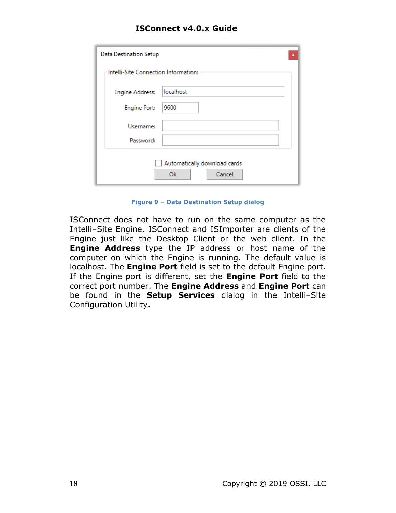#### **ISConnect v4.0.x Guide**

| <b>Data Destination Setup</b><br>×           |           |  |  |
|----------------------------------------------|-----------|--|--|
| Intelli-Site Connection Information:         |           |  |  |
| <b>Engine Address:</b>                       | localhost |  |  |
| <b>Engine Port:</b>                          | 9600      |  |  |
| Username:                                    |           |  |  |
| Password:                                    |           |  |  |
| Automatically download cards<br>Ok<br>Cancel |           |  |  |

**Figure 9 – Data Destination Setup dialog**

<span id="page-17-0"></span>ISConnect does not have to run on the same computer as the Intelli-Site Engine. ISConnect and ISImporter are clients of the Engine just like the Desktop Client or the web client. In the **Engine Address** type the IP address or host name of the computer on which the Engine is running. The default value is localhost. The **Engine Port** field is set to the default Engine port. If the Engine port is different, set the **Engine Port** field to the correct port number. The **Engine Address** and **Engine Port** can be found in the **Setup Services** dialog in the Intelli-Site Configuration Utility.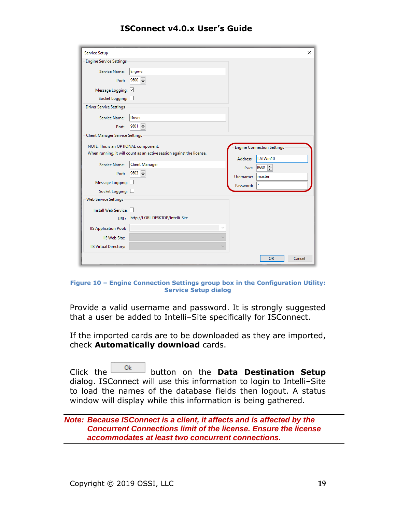| <b>Service Setup</b>                   |                                                                       |           | ×                                 |
|----------------------------------------|-----------------------------------------------------------------------|-----------|-----------------------------------|
| <b>Engine Service Settings</b>         |                                                                       |           |                                   |
| Service Name:                          | Engine                                                                |           |                                   |
| Port:                                  | 9600                                                                  |           |                                   |
| Message Logging: ☑                     |                                                                       |           |                                   |
| Socket Logging:                        |                                                                       |           |                                   |
| <b>Driver Service Settings</b>         |                                                                       |           |                                   |
| Service Name:                          | <b>Driver</b>                                                         |           |                                   |
| Port:                                  | $9601 -$                                                              |           |                                   |
| <b>Client Manager Service Settings</b> |                                                                       |           |                                   |
| NOTE: This is an OPTIONAL component.   |                                                                       |           | <b>Engine Connection Settings</b> |
|                                        | When running, it will count as an active session against the license. |           |                                   |
|                                        |                                                                       | Address:  | LATWin10                          |
| Service Name:                          | <b>Client Manager</b>                                                 | Port:     | $9600$ $\Rightarrow$              |
| Port:                                  | $9603$ $\rightarrow$                                                  | Username: | master                            |
| Message Logging:                       |                                                                       | Password: |                                   |
| Socket Logging:                        |                                                                       |           |                                   |
| Web Service Settings                   |                                                                       |           |                                   |
| Install Web Service:                   |                                                                       |           |                                   |
| URL:                                   | http://LORI-DESKTOP/Intelli-Site                                      |           |                                   |
| <b>IIS Application Pool:</b>           |                                                                       |           |                                   |
| <b>IIS Web Site:</b>                   |                                                                       |           |                                   |
| <b>IIS Virtual Directory:</b>          | $\checkmark$                                                          |           |                                   |
|                                        |                                                                       |           | <b>OK</b><br>Cancel               |
|                                        |                                                                       |           |                                   |

#### <span id="page-18-0"></span>**Figure 10 – Engine Connection Settings group box in the Configuration Utility: Service Setup dialog**

Provide a valid username and password. It is strongly suggested that a user be added to Intelli-Site specifically for ISConnect.

If the imported cards are to be downloaded as they are imported, check **Automatically download** cards.

Click the <sup>Ok</sup> button on the **Data Destination Setup** dialog. ISConnect will use this information to login to Intelli-Site to load the names of the database fields then logout. A status window will display while this information is being gathered.

*Note: Because ISConnect is a client, it affects and is affected by the Concurrent Connections limit of the license. Ensure the license accommodates at least two concurrent connections.*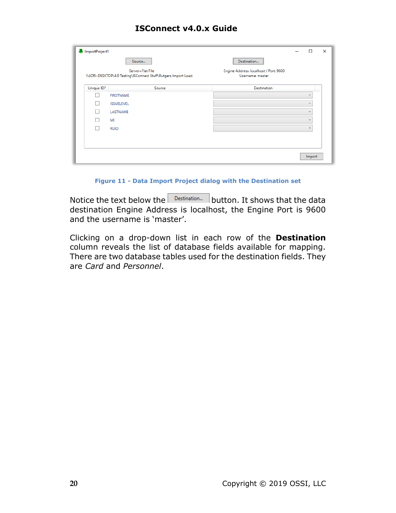|            | Source<br>Server=Flat File                                      | Destination<br>Engine Address: localhost / Port: 9600 |              |  |
|------------|-----------------------------------------------------------------|-------------------------------------------------------|--------------|--|
|            | \\LORI-DESKTOP\4.0 Testing\ISConnect Stuff\Rutgers Import Load. | Username: master                                      |              |  |
| Unique ID? | Source                                                          | <b>Destination</b>                                    |              |  |
|            | <b>FIRSTNAME</b>                                                |                                                       | $\sim$       |  |
|            | <b>ISSUELEVEL</b>                                               |                                                       | u            |  |
|            | LASTNAME                                                        |                                                       |              |  |
|            | MI                                                              |                                                       |              |  |
|            | <b>RUID</b>                                                     |                                                       | $\checkmark$ |  |
|            |                                                                 |                                                       |              |  |
|            |                                                                 |                                                       |              |  |

**Figure 11 - Data Import Project dialog with the Destination set**

<span id="page-19-0"></span>Notice the text below the  $\Box$  Destination... | button. It shows that the data destination Engine Address is localhost, the Engine Port is 9600 and the username is 'master'.

Clicking on a drop-down list in each row of the **Destination** column reveals the list of database fields available for mapping. There are two database tables used for the destination fields. They are *Card* and *Personnel*.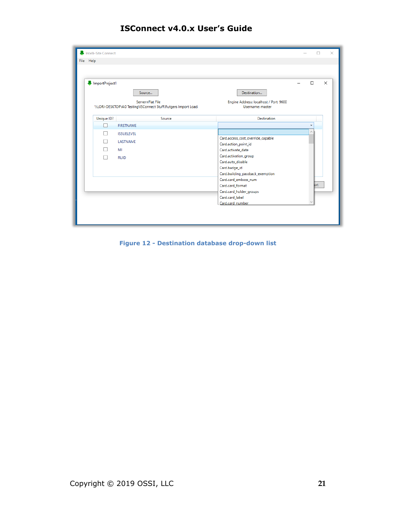| ImportProject1 |                                                                                     |                                                            | $\Box$       |
|----------------|-------------------------------------------------------------------------------------|------------------------------------------------------------|--------------|
|                | Source                                                                              | Destination                                                |              |
|                | Server=Flat File<br>\\LORI-DESKTOP\4.0 Testing\ISConnect Stuff\Rutgers Import Load. | Engine Address: localhost / Port: 9600<br>Username: master |              |
| Unique ID?     | Source                                                                              | <b>Destination</b>                                         |              |
| H              | <b>FIRSTNAME</b>                                                                    |                                                            | $\checkmark$ |
|                | <b>ISSUELEVEL</b>                                                                   |                                                            | $\wedge$     |
|                | LASTNAME                                                                            | Card.access_cost_override_capable                          |              |
|                | MI                                                                                  | Card.action_point_id<br>Card.activate_date                 |              |
|                |                                                                                     | Card.activation_group                                      |              |
|                | <b>RUID</b>                                                                         | Card.auto_disable                                          |              |
|                |                                                                                     | Card.badge_id                                              |              |
|                |                                                                                     | Card.building_passback_exemption                           |              |
|                |                                                                                     | Card.card_emboss_num                                       | <b>brt</b>   |
|                |                                                                                     | Card.card_format<br>Card.card_holder_groups                |              |
|                |                                                                                     | Card.card_label                                            |              |
|                |                                                                                     | Card.card number                                           |              |

<span id="page-20-0"></span>**Figure 12 - Destination database drop-down list**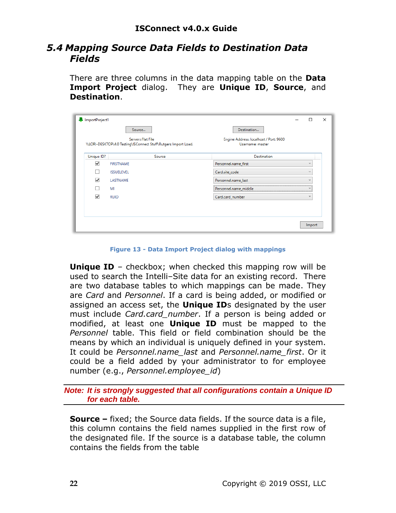### <span id="page-21-0"></span>*5.4 Mapping Source Data Fields to Destination Data Fields*

There are three columns in the data mapping table on the **Data Import Project** dialog. They are **Unique ID**, **Source**, and **Destination**.

|                                             | Server=Flat File                                                | Engine Address: localhost / Port: 9600 |              |  |
|---------------------------------------------|-----------------------------------------------------------------|----------------------------------------|--------------|--|
|                                             | \\LORI-DESKTOP\4.0 Testing\ISConnect Stuff\Rutgers Import Load. | Username: master                       |              |  |
| Unique ID?                                  | Source                                                          | <b>Destination</b>                     |              |  |
| $\overline{\mathsf{v}}$<br><b>FIRSTNAME</b> |                                                                 | Personnel.name_first                   | $\sim$       |  |
| <b>ISSUELEVEL</b>                           |                                                                 | Card.site_code                         | $\sim$       |  |
| $\overline{\checkmark}$<br>LASTNAME         |                                                                 | Personnel.name_last                    | $\sim$       |  |
| MI                                          |                                                                 | Personnel.name_middle                  | -------      |  |
| $\checkmark$<br><b>RUID</b>                 |                                                                 | Card.card_number                       | $\checkmark$ |  |

**Figure 13 - Data Import Project dialog with mappings**

<span id="page-21-1"></span>**Unique ID** – checkbox; when checked this mapping row will be used to search the Intelli-Site data for an existing record. There are two database tables to which mappings can be made. They are *Card* and *Personnel*. If a card is being added, or modified or assigned an access set, the **Unique ID**s designated by the user must include *Card.card\_number*. If a person is being added or modified, at least one **Unique ID** must be mapped to the *Personnel* table. This field or field combination should be the means by which an individual is uniquely defined in your system. It could be *Personnel.name\_last* and *Personnel.name\_first*. Or it could be a field added by your administrator to for employee number (e.g., *Personnel.employee\_id*)

*Note: It is strongly suggested that all configurations contain a Unique ID for each table.*

**Source –** fixed; the Source data fields. If the source data is a file, this column contains the field names supplied in the first row of the designated file. If the source is a database table, the column contains the fields from the table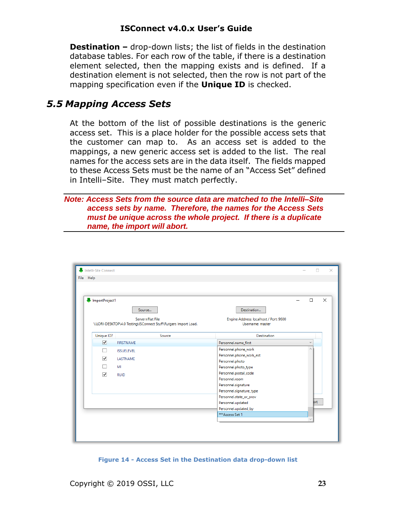**Destination –** drop-down lists; the list of fields in the destination database tables. For each row of the table, if there is a destination element selected, then the mapping exists and is defined. If a destination element is not selected, then the row is not part of the mapping specification even if the **Unique ID** is checked.

### <span id="page-22-0"></span>*5.5 Mapping Access Sets*

At the bottom of the list of possible destinations is the generic access set. This is a place holder for the possible access sets that the customer can map to. As an access set is added to the mappings, a new generic access set is added to the list. The real names for the access sets are in the data itself. The fields mapped to these Access Sets must be the name of an "Access Set" defined in Intelli-Site. They must match perfectly.

*Note: Access Sets from the source data are matched to the Intelli‒Site access sets by name. Therefore, the names for the Access Sets must be unique across the whole project. If there is a duplicate name, the import will abort.*

| ImportProject1       |                                                                                     |                                                            | $\Box$       | $\times$ |
|----------------------|-------------------------------------------------------------------------------------|------------------------------------------------------------|--------------|----------|
|                      | Source                                                                              | Destination                                                |              |          |
|                      | Server=Flat File<br>\\LORI-DESKTOP\4.0 Testing\ISConnect Stuff\Rutgers Import Load. | Engine Address: localhost / Port: 9600<br>Username: master |              |          |
| Unique ID?           | Source                                                                              | <b>Destination</b>                                         |              |          |
| $\blacktriangledown$ | <b>FIRSTNAME</b>                                                                    | Personnel.name_first                                       | $\checkmark$ |          |
|                      | <b>ISSUELEVEL</b>                                                                   | Personnel.phone_work                                       | $\wedge$     |          |
|                      |                                                                                     | Personnel.phone_work_ext                                   |              |          |
| ✓                    | LASTNAME                                                                            | Personnel.photo                                            |              |          |
|                      | MI                                                                                  | Personnel.photo_type                                       |              |          |
| $\checkmark$         | <b>RUID</b>                                                                         | Personnel.postal_code                                      |              |          |
|                      |                                                                                     | Personnel.room                                             |              |          |
|                      |                                                                                     | Personnel.signature                                        |              |          |
|                      |                                                                                     | Personnel.signature_type                                   |              |          |
|                      |                                                                                     | Personnel.state_or_prov                                    |              |          |
|                      |                                                                                     | Personnel.updated                                          | <b>brt</b>   |          |
|                      |                                                                                     | Personnel.updated_by                                       |              |          |
|                      |                                                                                     | ***Access Set 1                                            |              |          |

<span id="page-22-1"></span>**Figure 14 - Access Set in the Destination data drop-down list**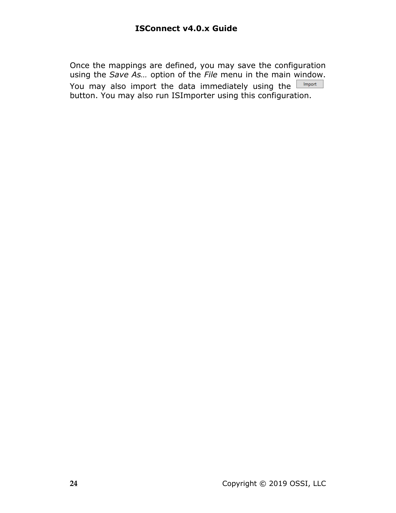Once the mappings are defined, you may save the configuration using the *Save As…* option of the *File* menu in the main window. You may also import the data immediately using the  $\Box$  Import button. You may also run ISImporter using this configuration.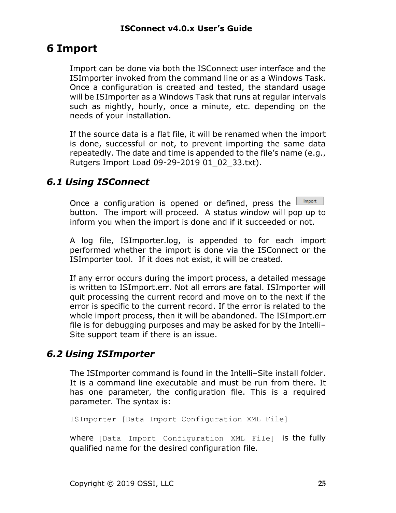# <span id="page-24-0"></span>**6 Import**

Import can be done via both the ISConnect user interface and the ISImporter invoked from the command line or as a Windows Task. Once a configuration is created and tested, the standard usage will be ISImporter as a Windows Task that runs at regular intervals such as nightly, hourly, once a minute, etc. depending on the needs of your installation.

If the source data is a flat file, it will be renamed when the import is done, successful or not, to prevent importing the same data repeatedly. The date and time is appended to the file's name (e.g., Rutgers Import Load 09-29-2019 01\_02\_33.txt).

### <span id="page-24-1"></span>*6.1 Using ISConnect*

Once a configuration is opened or defined, press the  $\frac{1}{2}$ Import button. The import will proceed. A status window will pop up to inform you when the import is done and if it succeeded or not.

A log file, ISImporter.log, is appended to for each import performed whether the import is done via the ISConnect or the ISImporter tool. If it does not exist, it will be created.

If any error occurs during the import process, a detailed message is written to ISImport.err. Not all errors are fatal. ISImporter will quit processing the current record and move on to the next if the error is specific to the current record. If the error is related to the whole import process, then it will be abandoned. The ISImport.err file is for debugging purposes and may be asked for by the Intelli-Site support team if there is an issue.

### <span id="page-24-2"></span>*6.2 Using ISImporter*

The ISImporter command is found in the Intelli-Site install folder. It is a command line executable and must be run from there. It has one parameter, the configuration file. This is a required parameter. The syntax is:

ISImporter [Data Import Configuration XML File]

where [Data Import Configuration XML File] is the fully qualified name for the desired configuration file.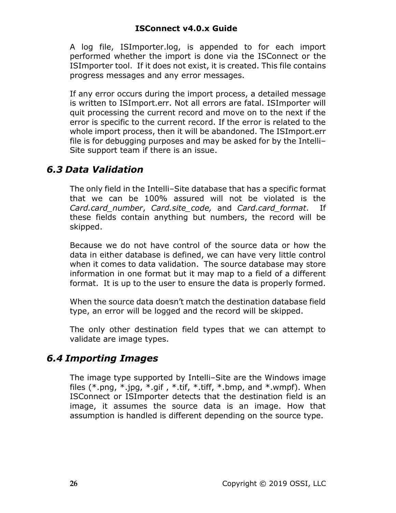#### **ISConnect v4.0.x Guide**

A log file, ISImporter.log, is appended to for each import performed whether the import is done via the ISConnect or the ISImporter tool. If it does not exist, it is created. This file contains progress messages and any error messages.

If any error occurs during the import process, a detailed message is written to ISImport.err. Not all errors are fatal. ISImporter will quit processing the current record and move on to the next if the error is specific to the current record. If the error is related to the whole import process, then it will be abandoned. The ISImport.err file is for debugging purposes and may be asked for by the Intelli-Site support team if there is an issue.

### <span id="page-25-0"></span>*6.3 Data Validation*

The only field in the Intelli-Site database that has a specific format that we can be 100% assured will not be violated is the *Card.card\_number*, *Card.site\_code,* and *Card.card\_format*. If these fields contain anything but numbers, the record will be skipped.

Because we do not have control of the source data or how the data in either database is defined, we can have very little control when it comes to data validation. The source database may store information in one format but it may map to a field of a different format. It is up to the user to ensure the data is properly formed.

When the source data doesn't match the destination database field type, an error will be logged and the record will be skipped.

The only other destination field types that we can attempt to validate are image types.

### <span id="page-25-1"></span>*6.4 Importing Images*

The image type supported by Intelli-Site are the Windows image files  $(*.png, *,.jpg, *,gif, *,tif, *,tiff, *,bmp, and *,wmpf). When$ ISConnect or ISImporter detects that the destination field is an image, it assumes the source data is an image. How that assumption is handled is different depending on the source type.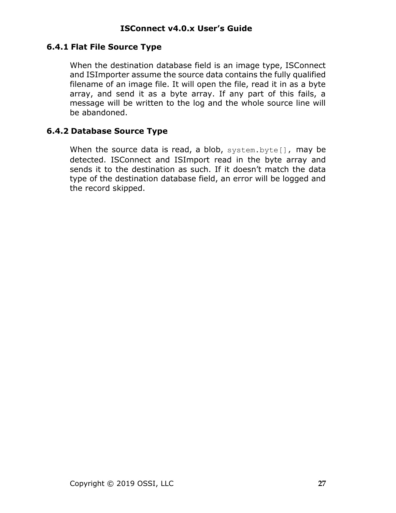#### <span id="page-26-0"></span>**6.4.1 Flat File Source Type**

When the destination database field is an image type, ISConnect and ISImporter assume the source data contains the fully qualified filename of an image file. It will open the file, read it in as a byte array, and send it as a byte array. If any part of this fails, a message will be written to the log and the whole source line will be abandoned.

#### <span id="page-26-1"></span>**6.4.2 Database Source Type**

When the source data is read, a blob, system.byte[], may be detected. ISConnect and ISImport read in the byte array and sends it to the destination as such. If it doesn't match the data type of the destination database field, an error will be logged and the record skipped.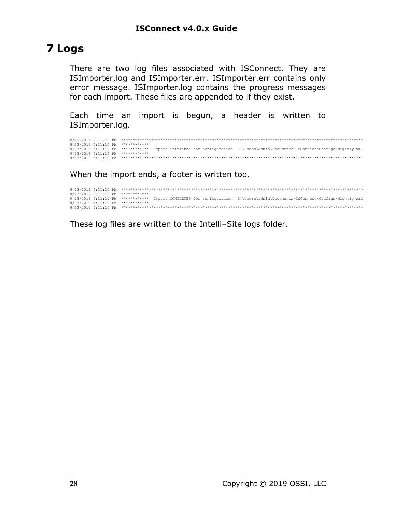# <span id="page-27-0"></span>**7 Logs**

There are two log files associated with ISConnect. They are ISImporter.log and ISImporter.err. ISImporter.err contains only error message. ISImporter.log contains the progress messages for each import. These files are appended to if they exist.

Each time an import is begun, a header is written to ISImporter.log.

|  | 9/23/2019 5:11:10 PM ************                                                                                           |
|--|-----------------------------------------------------------------------------------------------------------------------------|
|  | 9/23/2019 5:11:10 PM *********** Import initiated for configuration: C:\Users\admin\Documents\ISConnect\Configs\Nightly.xml |
|  | 9/23/2019 5:11:10 PM ************                                                                                           |
|  |                                                                                                                             |

When the import ends, a footer is written too.

```
9/23/2019 5:11:10 PM ********************************************************************************************************
9/23/2019 5:11:10 PM ************
9/23/2019 5:11:10 PM ************ Import COMPLETED for configuration: C:\Users\admin\Documents\ISConnect\Configs\Nightly.xml
9/23/2019 5:11:10 PM ************
9/23/2019 5:11:10 PM ********************************************************************************************************
```
These log files are written to the Intelli-Site logs folder.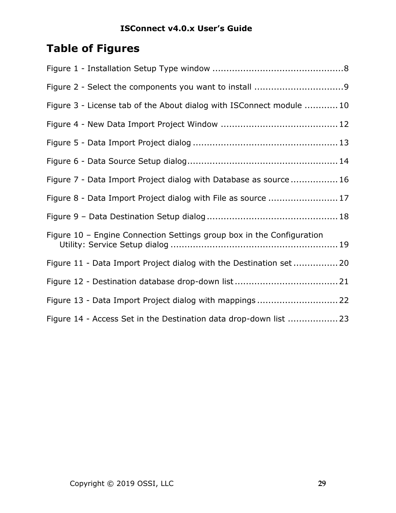# <span id="page-28-0"></span>**Table of Figures**

| Figure 3 - License tab of the About dialog with ISConnect module  10  |
|-----------------------------------------------------------------------|
|                                                                       |
|                                                                       |
|                                                                       |
| Figure 7 - Data Import Project dialog with Database as source 16      |
| Figure 8 - Data Import Project dialog with File as source  17         |
|                                                                       |
| Figure 10 - Engine Connection Settings group box in the Configuration |
| Figure 11 - Data Import Project dialog with the Destination set 20    |
|                                                                       |
| Figure 13 - Data Import Project dialog with mappings 22               |
| Figure 14 - Access Set in the Destination data drop-down list  23     |